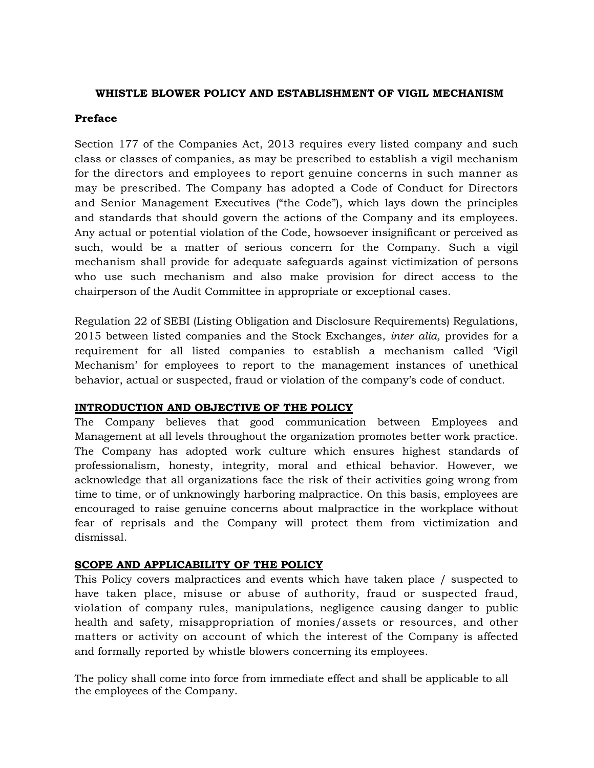### **WHISTLE BLOWER POLICY AND ESTABLISHMENT OF VIGIL MECHANISM**

### **Preface**

Section 177 of the Companies Act, 2013 requires every listed company and such class or classes of companies, as may be prescribed to establish a vigil mechanism for the directors and employees to report genuine concerns in such manner as may be prescribed. The Company has adopted a Code of Conduct for Directors and Senior Management Executives ("the Code"), which lays down the principles and standards that should govern the actions of the Company and its employees. Any actual or potential violation of the Code, howsoever insignificant or perceived as such, would be a matter of serious concern for the Company. Such a vigil mechanism shall provide for adequate safeguards against victimization of persons who use such mechanism and also make provision for direct access to the chairperson of the Audit Committee in appropriate or exceptional cases.

Regulation 22 of SEBI (Listing Obligation and Disclosure Requirements) Regulations, 2015 between listed companies and the Stock Exchanges, *inter alia,* provides for a requirement for all listed companies to establish a mechanism called "Vigil Mechanism" for employees to report to the management instances of unethical behavior, actual or suspected, fraud or violation of the company"s code of conduct.

### **INTRODUCTION AND OBJECTIVE OF THE POLICY**

The Company believes that good communication between Employees and Management at all levels throughout the organization promotes better work practice. The Company has adopted work culture which ensures highest standards of professionalism, honesty, integrity, moral and ethical behavior. However, we acknowledge that all organizations face the risk of their activities going wrong from time to time, or of unknowingly harboring malpractice. On this basis, employees are encouraged to raise genuine concerns about malpractice in the workplace without fear of reprisals and the Company will protect them from victimization and dismissal.

# **SCOPE AND APPLICABILITY OF THE POLICY**

This Policy covers malpractices and events which have taken place / suspected to have taken place, misuse or abuse of authority, fraud or suspected fraud, violation of company rules, manipulations, negligence causing danger to public health and safety, misappropriation of monies/assets or resources, and other matters or activity on account of which the interest of the Company is affected and formally reported by whistle blowers concerning its employees.

The policy shall come into force from immediate effect and shall be applicable to all the employees of the Company.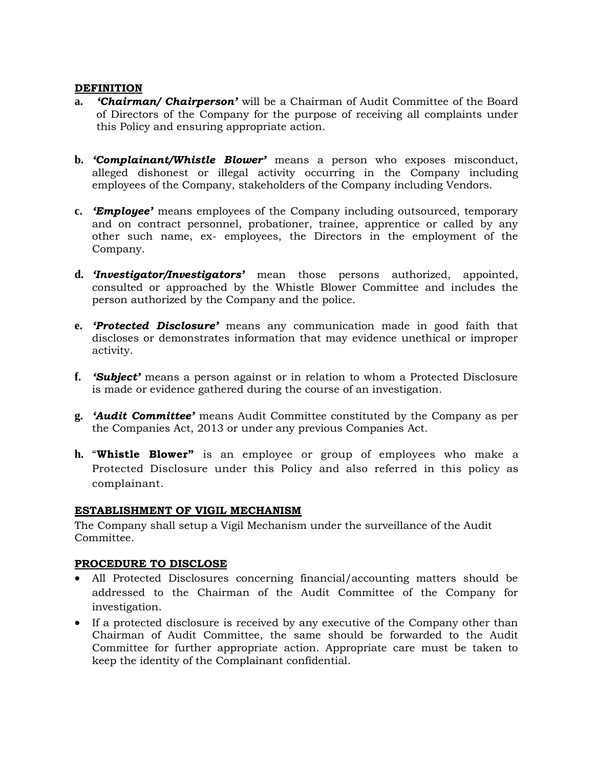### **DEFINITION**

- **a.** *'Chairman/ Chairperson'* will be a Chairman of Audit Committee of the Board of Directors of the Company for the purpose of receiving all complaints under this Policy and ensuring appropriate action.
- **b.** *'Complainant/Whistle Blower'* means a person who exposes misconduct, alleged dishonest or illegal activity occurring in the Company including employees of the Company, stakeholders of the Company including Vendors.
- **c.** *'Employee'* means employees of the Company including outsourced, temporary and on contract personnel, probationer, trainee, apprentice or called by any other such name, ex- employees, the Directors in the employment of the Company.
- **d.** *'Investigator/Investigators'* mean those persons authorized, appointed, consulted or approached by the Whistle Blower Committee and includes the person authorized by the Company and the police.
- **e.** *'Protected Disclosure'* means any communication made in good faith that discloses or demonstrates information that may evidence unethical or improper activity.
- **f.** *'Subject'* means a person against or in relation to whom a Protected Disclosure is made or evidence gathered during the course of an investigation.
- **g.** *'Audit Committee'* means Audit Committee constituted by the Company as per the Companies Act, 2013 or under any previous Companies Act.
- **h.** "**Whistle Blower"** is an employee or group of employees who make a Protected Disclosure under this Policy and also referred in this policy as complainant.

#### **ESTABLISHMENT OF VIGIL MECHANISM**

The Company shall setup a Vigil Mechanism under the surveillance of the Audit Committee.

#### **PROCEDURE TO DISCLOSE**

- All Protected Disclosures concerning financial/accounting matters should be addressed to the Chairman of the Audit Committee of the Company for investigation.
- If a protected disclosure is received by any executive of the Company other than Chairman of Audit Committee, the same should be forwarded to the Audit Committee for further appropriate action. Appropriate care must be taken to keep the identity of the Complainant confidential.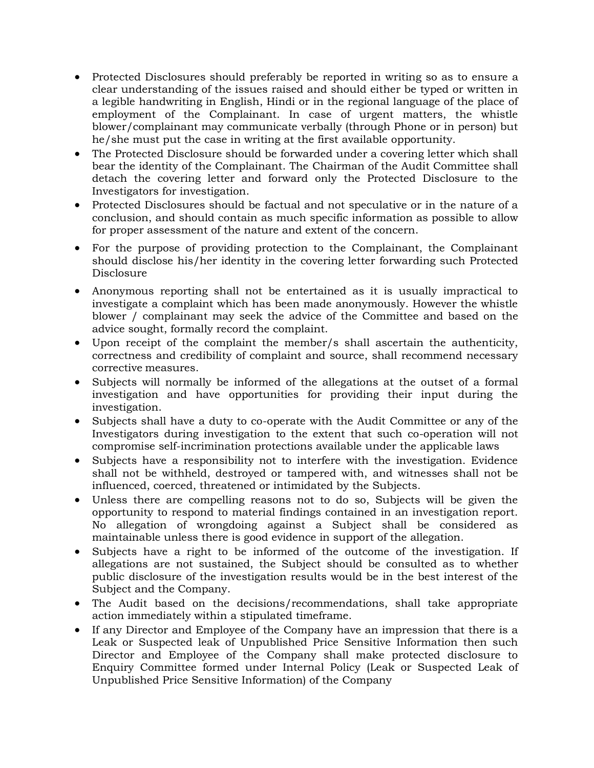- Protected Disclosures should preferably be reported in writing so as to ensure a clear understanding of the issues raised and should either be typed or written in a legible handwriting in English, Hindi or in the regional language of the place of employment of the Complainant. In case of urgent matters, the whistle blower/complainant may communicate verbally (through Phone or in person) but he/she must put the case in writing at the first available opportunity.
- The Protected Disclosure should be forwarded under a covering letter which shall bear the identity of the Complainant. The Chairman of the Audit Committee shall detach the covering letter and forward only the Protected Disclosure to the Investigators for investigation.
- Protected Disclosures should be factual and not speculative or in the nature of a conclusion, and should contain as much specific information as possible to allow for proper assessment of the nature and extent of the concern.
- For the purpose of providing protection to the Complainant, the Complainant should disclose his/her identity in the covering letter forwarding such Protected Disclosure
- Anonymous reporting shall not be entertained as it is usually impractical to investigate a complaint which has been made anonymously. However the whistle blower / complainant may seek the advice of the Committee and based on the advice sought, formally record the complaint.
- Upon receipt of the complaint the member/s shall ascertain the authenticity, correctness and credibility of complaint and source, shall recommend necessary corrective measures.
- Subjects will normally be informed of the allegations at the outset of a formal investigation and have opportunities for providing their input during the investigation.
- Subjects shall have a duty to co-operate with the Audit Committee or any of the Investigators during investigation to the extent that such co-operation will not compromise self-incrimination protections available under the applicable laws
- Subjects have a responsibility not to interfere with the investigation. Evidence shall not be withheld, destroyed or tampered with, and witnesses shall not be influenced, coerced, threatened or intimidated by the Subjects.
- Unless there are compelling reasons not to do so, Subjects will be given the opportunity to respond to material findings contained in an investigation report. No allegation of wrongdoing against a Subject shall be considered as maintainable unless there is good evidence in support of the allegation.
- Subjects have a right to be informed of the outcome of the investigation. If allegations are not sustained, the Subject should be consulted as to whether public disclosure of the investigation results would be in the best interest of the Subject and the Company.
- The Audit based on the decisions/recommendations, shall take appropriate action immediately within a stipulated timeframe.
- If any Director and Employee of the Company have an impression that there is a Leak or Suspected leak of Unpublished Price Sensitive Information then such Director and Employee of the Company shall make protected disclosure to Enquiry Committee formed under Internal Policy (Leak or Suspected Leak of Unpublished Price Sensitive Information) of the Company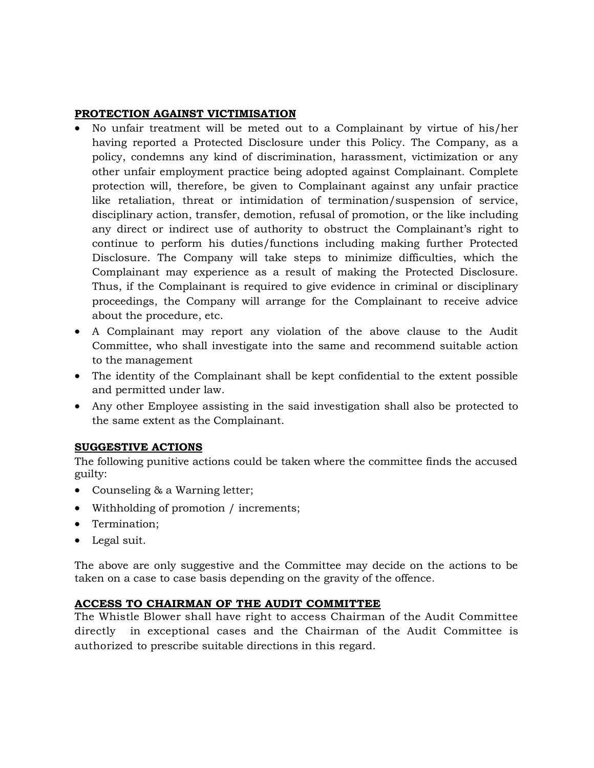### **PROTECTION AGAINST VICTIMISATION**

- No unfair treatment will be meted out to a Complainant by virtue of his/her having reported a Protected Disclosure under this Policy. The Company, as a policy, condemns any kind of discrimination, harassment, victimization or any other unfair employment practice being adopted against Complainant. Complete protection will, therefore, be given to Complainant against any unfair practice like retaliation, threat or intimidation of termination/suspension of service, disciplinary action, transfer, demotion, refusal of promotion, or the like including any direct or indirect use of authority to obstruct the Complainant's right to continue to perform his duties/functions including making further Protected Disclosure. The Company will take steps to minimize difficulties, which the Complainant may experience as a result of making the Protected Disclosure. Thus, if the Complainant is required to give evidence in criminal or disciplinary proceedings, the Company will arrange for the Complainant to receive advice about the procedure, etc.
- A Complainant may report any violation of the above clause to the Audit Committee, who shall investigate into the same and recommend suitable action to the management
- The identity of the Complainant shall be kept confidential to the extent possible and permitted under law.
- Any other Employee assisting in the said investigation shall also be protected to the same extent as the Complainant.

### **SUGGESTIVE ACTIONS**

The following punitive actions could be taken where the committee finds the accused guilty:

- Counseling & a Warning letter;
- Withholding of promotion / increments;
- Termination;
- Legal suit.

The above are only suggestive and the Committee may decide on the actions to be taken on a case to case basis depending on the gravity of the offence.

#### **ACCESS TO CHAIRMAN OF THE AUDIT COMMITTEE**

The Whistle Blower shall have right to access Chairman of the Audit Committee directly in exceptional cases and the Chairman of the Audit Committee is authorized to prescribe suitable directions in this regard.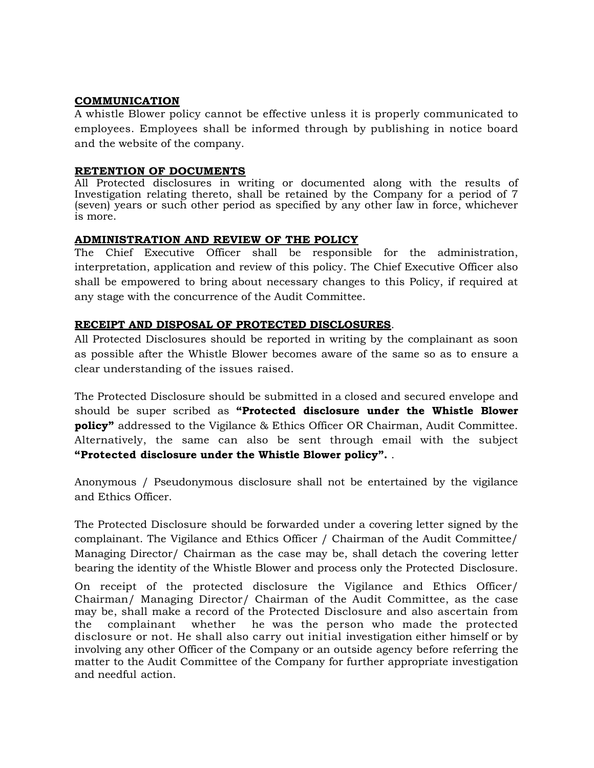## **COMMUNICATION**

A whistle Blower policy cannot be effective unless it is properly communicated to employees. Employees shall be informed through by publishing in notice board and the website of the company.

### **RETENTION OF DOCUMENTS**

All Protected disclosures in writing or documented along with the results of Investigation relating thereto, shall be retained by the Company for a period of 7 (seven) years or such other period as specified by any other law in force, whichever is more.

## **ADMINISTRATION AND REVIEW OF THE POLICY**

The Chief Executive Officer shall be responsible for the administration, interpretation, application and review of this policy. The Chief Executive Officer also shall be empowered to bring about necessary changes to this Policy, if required at any stage with the concurrence of the Audit Committee.

## **RECEIPT AND DISPOSAL OF PROTECTED DISCLOSURES**.

All Protected Disclosures should be reported in writing by the complainant as soon as possible after the Whistle Blower becomes aware of the same so as to ensure a clear understanding of the issues raised.

The Protected Disclosure should be submitted in a closed and secured envelope and should be super scribed as **"Protected disclosure under the Whistle Blower policy"** addressed to the Vigilance & Ethics Officer OR Chairman, Audit Committee. Alternatively, the same can also be sent through email with the subject **"Protected disclosure under the Whistle Blower policy".** .

Anonymous / Pseudonymous disclosure shall not be entertained by the vigilance and Ethics Officer.

The Protected Disclosure should be forwarded under a covering letter signed by the complainant. The Vigilance and Ethics Officer / Chairman of the Audit Committee/ Managing Director/ Chairman as the case may be, shall detach the covering letter bearing the identity of the Whistle Blower and process only the Protected Disclosure.

On receipt of the protected disclosure the Vigilance and Ethics Officer/ Chairman/ Managing Director/ Chairman of the Audit Committee, as the case may be, shall make a record of the Protected Disclosure and also ascertain from the complainant whether he was the person who made the protected disclosure or not. He shall also carry out initial investigation either himself or by involving any other Officer of the Company or an outside agency before referring the matter to the Audit Committee of the Company for further appropriate investigation and needful action.